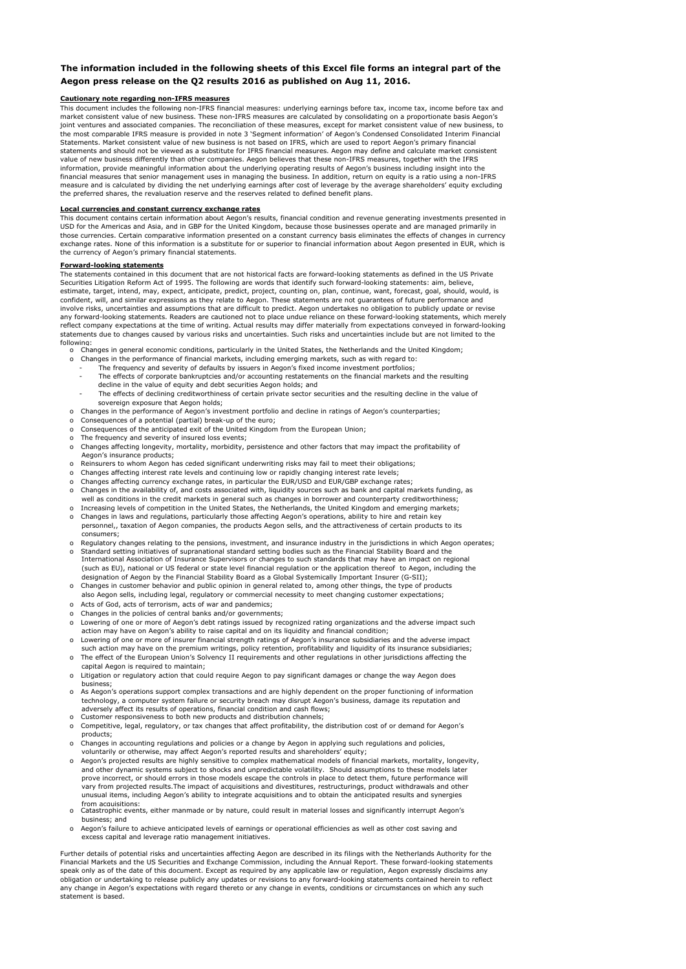### **The information included in the following sheets of this Excel file forms an integral part of the Aegon press release on the Q2 results 2016 as published on Aug 11, 2016.**

#### **Cautionary note regarding non-IFRS measures**

This document includes the following non-IFRS financial measures: underlying earnings before tax, income tax, income before tax and market consistent value of new business. These non-IFRS measures are calculated by consolidating on a proportionate basis Aegon's joint ventures and associated companies. The reconciliation of these measures, except for market consistent value of new business, to the most comparable IFRS measure is provided in note 3 'Segment information' of Aegon's Condensed Consolidated Interim Financial Statements. Market consistent value of new business is not based on IFRS, which are used to report Aegon's primary financial statements and should not be viewed as a substitute for IFRS financial measures. Aegon may define and calculate market consistent value of new business differently than other companies. Aegon believes that these non-IFRS measures, together with the IFRS information, provide meaningful information about the underlying operating results of Aegon's business including insight into the financial measures that senior management uses in managing the business. In addition, return on equity is a ratio using a non-IFRS measure and is calculated by dividing the net underlying earnings after cost of leverage by the average shareholders' equity excluding the preferred shares, the revaluation reserve and the reserves related to defined benefit plans.

### **Local currencies and constant currency exchange rates**

This document contains certain information about Aegon's results, financial condition and revenue generating investments presented in<br>USD for the Americas and Asia, and in GBP for the United Kingdom, because those business those currencies. Certain comparative information presented on a constant currency basis eliminates the effects of changes in currency exchange rates. None of this information is a substitute for or superior to financial information about Aegon presented in EUR, which is the currency of Aegon's primary financial statements.

### **Forward-looking statements**

The statements contained in this document that are not historical facts are forward-looking statements as defined in the US Private Securities Litigation Reform Act of 1995. The following are words that identify such forward-looking statements: aim, believe, estimate, target, intend, may, expect, anticipate, predict, project, counting on, plan, continue, want, forecast, goal, should, would, is confident, will, and similar expressions as they relate to Aegon. These statements are not guarantees of future performance and involve risks, uncertainties and assumptions that are difficult to predict. Aegon undertakes no obligation to publicly update or revise any forward-looking statements. Readers are cautioned not to place undue reliance on these forward-looking statements, which merely reflect company expectations at the time of writing. Actual results may differ materially from expectations conveyed in forward-looking statements due to changes caused by various risks and uncertainties. Such risks and uncertainties include but are not limited to the following:

- o Changes in general economic conditions, particularly in the United States, the Netherlands and the United Kingdom;
- o Changes in the performance of financial markets, including emerging markets, such as with regard to:
	- -<br>The frequency and severity of defaults by issuers in Aegon's fixed income investment portfolios;
	- The effects of corporate bankruptcies and/or accounting restatements on the financial markets and the resulting decline in the value of equity and debt securities Aegon holds; and
	- The effects of declining creditworthiness of certain private sector securities and the resulting decline in the value of sovereign exposure that Aegon holds;
- o Changes in the performance of Aegon's investment portfolio and decline in ratings of Aegon's counterparties;
- o Consequences of a potential (partial) break-up of the euro;
- Consequences of the anticipated exit of the United Kingdom from the European Union;
- o The frequency and severity of insured loss events;
- o Changes affecting longevity, mortality, morbidity, persistence and other factors that may impact the profitability of Aegon's insurance products;
- Reinsurers to whom Aegon has ceded significant underwriting risks may fail to meet their obligations;
- o Changes affecting interest rate levels and continuing low or rapidly changing interest rate levels;
- o Changes affecting currency exchange rates, in particular the EUR/USD and EUR/GBP exchange rates; Changes in the availability of, and costs associated with, liquidity sources such as bank and capital markets funding, as well as conditions in the credit markets in general such as changes in borrower and counterparty creditworthiness;
- o Increasing levels of competition in the United States, the Netherlands, the United Kingdom and emerging markets; Changes in laws and regulations, particularly those affecting Aegon's operations, ability to hire and retain key
- personnel,, taxation of Aegon companies, the products Aegon sells, and the attractiveness of certain products to its consumers; o Regulatory changes relating to the pensions, investment, and insurance industry in the jurisdictions in which Aegon operates;
- o Standard setting initiatives of supranational standard setting bodies such as the Financial Stability Board and the<br>International Association of Insurance Supervisors or changes to such standards that may have an impact (such as EU), national or US federal or state level financial regulation or the application thereof to Aegon, including the designation of Aegon by the Financial Stability Board as a Global Systemically Important Insurer (G-SII);
- o Changes in customer behavior and public opinion in general related to, among other things, the type of products also Aegon sells, including legal, regulatory or commercial necessity to meet changing customer expectations;
- o Acts of God, acts of terrorism, acts of war and pandemics; Changes in the policies of central banks and/or governments;
- o Lowering of one or more of Aegon's debt ratings issued by recognized rating organizations and the adverse impact such action may have on Aegon's ability to raise capital and on its liquidity and financial condition;
- o Lowering of one or more of insurer financial strength ratings of Aegon's insurance subsidiaries and the adverse impact such action may have on the premium writings, policy retention, profitability and liquidity of its insurance subsidiaries;
- o The effect of the European Union's Solvency II requirements and other regulations in other jurisdictions affecting the
- capital Aegon is required to maintain;
- Litigation or regulatory action that could require Aegon to pay significant damages or change the way Aegon does business;
- o As Aegon's operations support complex transactions and are highly dependent on the proper functioning of information technology, a computer system failure or security breach may disrupt Aegon's business, damage its reputation and adversely affect its results of operations, financial condition and cash flows;
- o Customer responsiveness to both new products and distribution channels;
- Competitive, legal, regulatory, or tax changes that affect profitability, the distribution cost of or demand for Aegon's products;
- Changes in accounting regulations and policies or a change by Aegon in applying such regulations and policies, voluntarily or otherwise, may affect Aegon's reported results and shareholders' equity;
- from acquisitions:<br>o Catastrophic events, either manmade or by nature, could result in material losses and significantly interrupt Aegon's o Aegon's projected results are highly sensitive to complex mathematical models of financial markets, mortality, longevity, and other dynamic systems subject to shocks and unpredictable volatility. Should assumptions to these models later prove incorrect, or should errors in those models escape the controls in place to detect them, future performance will vary from projected results.The impact of acquisitions and divestitures, restructurings, product withdrawals and other<br>unusual items, including Aegon's ability to integrate acquisitions and to obtain the anticipated result
- business; and
- o Aegon's failure to achieve anticipated levels of earnings or operational efficiencies as well as other cost saving and excess capital and leverage ratio management initiatives.

Further details of potential risks and uncertainties affecting Aegon are described in its filings with the Netherlands Authority for the Financial Markets and the US Securities and Exchange Commission, including the Annual Report. These forward-looking statements speak only as of the date of this document. Except as required by any applicable law or regulation, Aegon expressly disclaims any obligation or undertaking to release publicly any updates or revisions to any forward-looking statements contained herein to reflect any change in Aegon's expectations with regard thereto or any change in events, conditions or circumstances on which any such statement is based.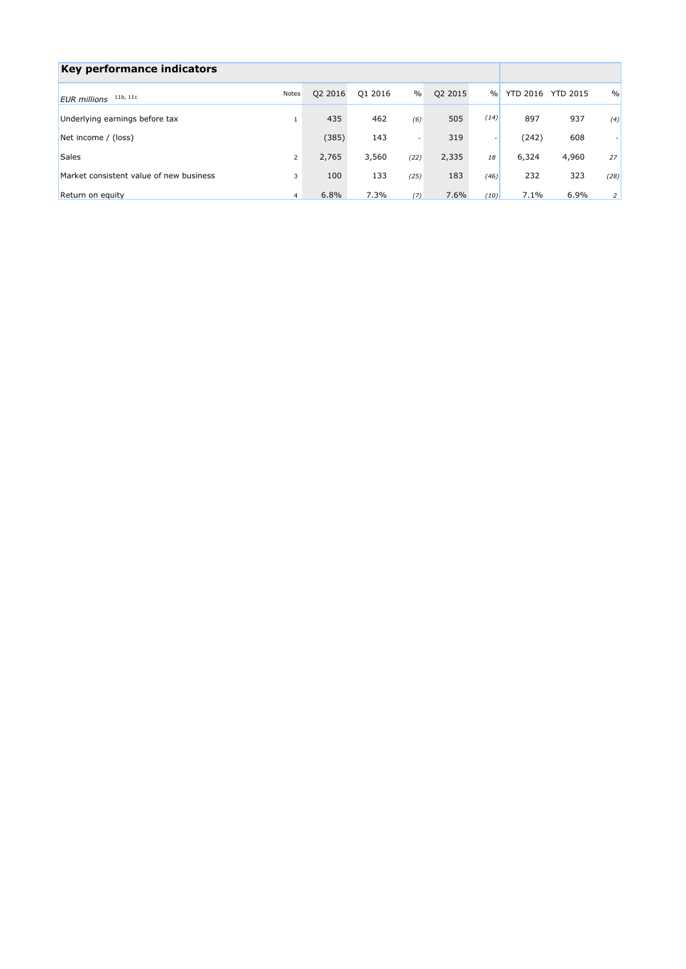| Key performance indicators              |                |         |         |                          |         |                |                 |                 |                |
|-----------------------------------------|----------------|---------|---------|--------------------------|---------|----------------|-----------------|-----------------|----------------|
| 11b, 11c<br><b>EUR</b> millions         | Notes          | Q2 2016 | Q1 2016 | $\frac{0}{0}$            | Q2 2015 | $\frac{0}{0}$  | <b>YTD 2016</b> | <b>YTD 2015</b> | $\frac{0}{0}$  |
| Underlying earnings before tax          | $\mathbf{1}$   | 435     | 462     | (6)                      | 505     | (14)           | 897             | 937             | (4)            |
| Net income / (loss)                     |                | (385)   | 143     | $\overline{\phantom{0}}$ | 319     | $\overline{a}$ | (242)           | 608             |                |
| Sales                                   | $\overline{2}$ | 2,765   | 3,560   | (22)                     | 2,335   | 18             | 6,324           | 4,960           | 27             |
| Market consistent value of new business | 3              | 100     | 133     | (25)                     | 183     | (46)           | 232             | 323             | (28)           |
| Return on equity                        | $\overline{4}$ | 6.8%    | 7.3%    | (7)                      | 7.6%    | (10)           | 7.1%            | 6.9%            | 2 <sup>1</sup> |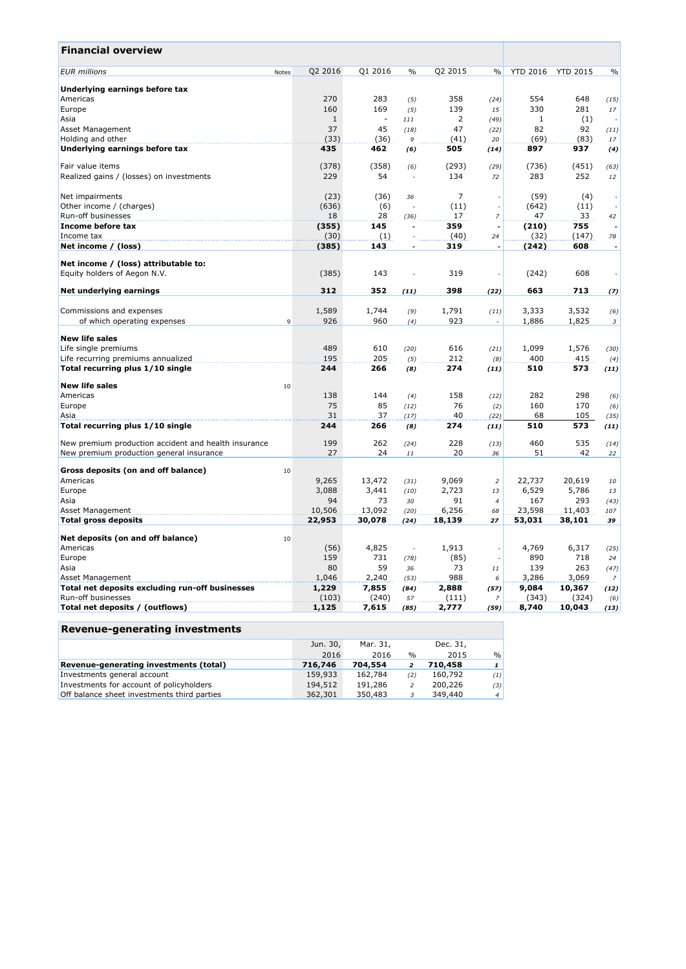| <b>Financial overview</b>                                    |              |                          |                |                |                  |                 |                 |                          |
|--------------------------------------------------------------|--------------|--------------------------|----------------|----------------|------------------|-----------------|-----------------|--------------------------|
| <b>EUR</b> millions<br>Notes                                 | Q2 2016      | Q1 2016                  | $\%$           | Q2 2015        | $\%$             | <b>YTD 2016</b> | <b>YTD 2015</b> | $\frac{0}{0}$            |
| Underlying earnings before tax                               |              |                          |                |                |                  |                 |                 |                          |
| Americas                                                     | 270          | 283                      | (5)            | 358            | (24)             | 554             | 648             | (15)                     |
| Europe                                                       | 160          | 169                      | (5)            | 139            | 15               | 330             | 281             | 17                       |
| Asia                                                         | $\mathbf{1}$ | $\overline{\phantom{a}}$ | 111            | $\overline{2}$ | (49)             | 1               | (1)             | $\overline{\phantom{a}}$ |
| Asset Management                                             | 37           | 45                       | (18)           | 47             | (22)             | 82              | 92              | (11)                     |
| Holding and other                                            | (33)         | (36)                     | 9              | (41)           | 20               | (69)            | (83)            | 17                       |
| Underlying earnings before tax                               | 435          | 462                      | (6)            | 505            | (14)             | 897             | 937             | (4)                      |
| Fair value items                                             | (378)        | (358)                    | (6)            | (293)          | (29)             | (736)           | (451)           | (63)                     |
| Realized gains / (losses) on investments                     | 229          | 54                       | $\sim$         | 134            | 72               | 283             | 252             | 12                       |
| Net impairments                                              | (23)         | (36)                     | 36             | 7              |                  | (59)            | (4)             | $\overline{\phantom{a}}$ |
| Other income / (charges)                                     | (636)        | (6)                      | ä,             | (11)           |                  | (642)           | (11)            | $\overline{\phantom{a}}$ |
| Run-off businesses                                           | 18           | 28                       | (36)           | 17             | $\overline{z}$   | 47              | 33              | 42                       |
| Income before tax                                            | (355)        | 145                      |                | 359            | $\overline{a}$   | (210)           | 755             | $\overline{\phantom{a}}$ |
| Income tax                                                   | (30)         | (1)                      |                | (40)           | 24               | (32)            | (147)           | 78                       |
| Net income / (loss)                                          | (385)        | 143                      |                | 319            | ÷                | (242)           | 608             | $\overline{\phantom{a}}$ |
| Net income / (loss) attributable to:                         |              |                          |                |                |                  |                 |                 |                          |
| Equity holders of Aegon N.V.                                 | (385)        | 143                      |                | 319            |                  | (242)           | 608             |                          |
| Net underlying earnings                                      | 312          | 352                      | (11)           | 398            | (22)             | 663             | 713             | (7)                      |
|                                                              |              |                          |                |                |                  |                 |                 |                          |
| Commissions and expenses<br>of which operating expenses<br>9 | 1,589<br>926 | 1,744<br>960             | (9)<br>(4)     | 1,791<br>923   | (11)             | 3,333<br>1,886  | 3,532<br>1,825  | (6)<br>3                 |
|                                                              |              |                          |                |                |                  |                 |                 |                          |
| <b>New life sales</b>                                        |              |                          |                |                |                  |                 |                 |                          |
| Life single premiums                                         | 489          | 610                      | (20)           | 616            | (21)             | 1,099           | 1,576           | (30)                     |
| Life recurring premiums annualized                           | 195          | 205                      | (5)            | 212            | (8)              | 400             | 415             | (4)                      |
| Total recurring plus 1/10 single                             | 244          | 266                      | (8)            | 274            | (11)             | 510             | 573             | (11)                     |
|                                                              |              |                          |                |                |                  |                 |                 |                          |
| <b>New life sales</b><br>10                                  |              |                          |                |                |                  |                 |                 |                          |
| Americas                                                     | 138          | 144                      | (4)            | 158            | (12)             | 282             | 298             | (6)                      |
| Europe                                                       | 75           | 85                       | (12)           | 76             | (2)              | 160             | 170             | (6)                      |
| Asia                                                         | 31           | 37                       | (17)           | 40             | (22)             | 68              | 105             | (35)                     |
| Total recurring plus 1/10 single                             | 244          | 266                      | (8)            | 274            | (11)             | 510             | 573             | (11)                     |
| New premium production accident and health insurance         | 199          | 262                      | (24)           | 228            | (13)             | 460             | 535             | (14)                     |
| New premium production general insurance                     | 27           | 24                       | 11             | 20             | 36               | 51              | 42              | 22                       |
|                                                              |              |                          |                |                |                  |                 |                 |                          |
| Gross deposits (on and off balance)<br>10                    |              |                          |                |                |                  |                 |                 |                          |
| Americas                                                     | 9,265        | 13,472                   | (31)           | 9,069          | $\overline{2}$   | 22,737          | 20,619          | 10                       |
| Europe                                                       | 3,088        | 3,441                    | (10)           | 2,723          | 13               | 6,529           | 5,786           | 13                       |
| Asia                                                         | 94           | 73                       | 30             | 91             | $\overline{4}$   | 167             | 293             | (43)                     |
| Asset Management<br><b>Total gross deposits</b>              | 10,506       | 13,092                   | (20)           | 6,256          | 68               | 23,598          | 11,403          | 107                      |
|                                                              | 22,953       | 30,078                   | (24)           | 18,139         | 27               | 53,031          | 38,101          | 39                       |
| Net deposits (on and off balance)<br>10                      |              |                          |                |                |                  |                 |                 |                          |
| Americas                                                     | (56)         | 4,825                    |                | 1,913          |                  | 4,769           | 6,317           | (25)                     |
| Europe                                                       | 159          | 731                      | (78)           | (85)           |                  | 890             | 718             | 24                       |
| Asia                                                         | 80           | 59                       | 36             | 73             | $11\,$           | 139             | 263             | (47)                     |
| Asset Management                                             | 1,046        | 2,240                    | (53)           | 988            | 6                | 3,286           | 3,069           | 7 <sup>1</sup>           |
| Total net deposits excluding run-off businesses              | 1,229        | 7,855                    | (84)           | 2,888          | (57)             | 9,084           | 10,367          | (12)                     |
| Run-off businesses                                           | (103)        | (240)                    | 57             | (111)          | 7                | (343)           | (324)           | (6)                      |
| Total net deposits / (outflows)                              | 1,125        | 7,615                    | (85)           | 2,777          | (59)             | 8,740           | 10,043          | (13)                     |
| <b>Revenue-generating investments</b>                        |              |                          |                |                |                  |                 |                 |                          |
|                                                              | Jun. 30,     | Mar. 31,                 |                | Dec. 31,       |                  |                 |                 |                          |
|                                                              | 2016         | 2016                     | $\%$           | 2015           | $\%$             |                 |                 |                          |
| Revenue-generating investments (total)                       | 716,746      | 704,554                  | $\mathbf{z}$   | 710,458        | $\mathbf{1}$     |                 |                 |                          |
| Investments general account                                  | 159,933      | 162,784                  | (2)            | 160,792        | (1)              |                 |                 |                          |
| Investments for account of policyholders                     | 194,512      | 191,286                  | $\overline{2}$ | 200,226        | (3)              |                 |                 |                          |
| Off balance sheet investments third parties                  | 362,301      | 350,483                  | 3              | 349,440        | $\boldsymbol{4}$ |                 |                 |                          |
|                                                              |              |                          |                |                |                  |                 |                 |                          |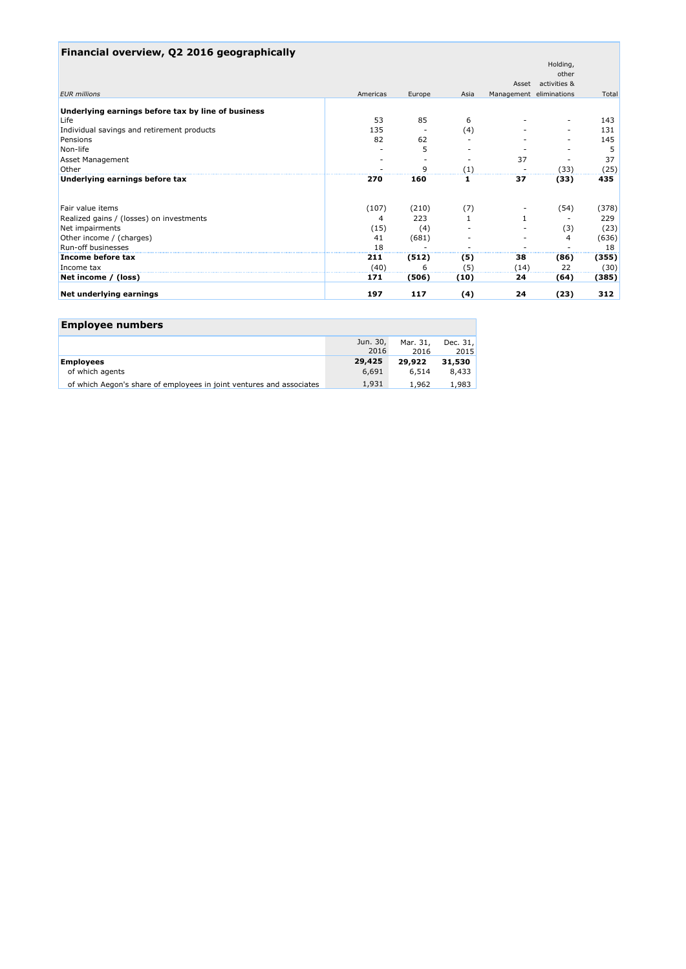| Financial overview, Q2 2016 geographically         |          |        |      |                         |              |       |
|----------------------------------------------------|----------|--------|------|-------------------------|--------------|-------|
|                                                    |          |        |      |                         | Holding,     |       |
|                                                    |          |        |      |                         | other        |       |
|                                                    |          |        |      | Asset                   | activities & |       |
| <b>EUR</b> millions                                | Americas | Europe | Asia | Management eliminations |              | Total |
| Underlying earnings before tax by line of business |          |        |      |                         |              |       |
| Life                                               | 53       | 85     | 6    |                         |              | 143   |
| Individual savings and retirement products         | 135      |        | (4)  |                         |              | 131   |
| Pensions                                           | 82       | 62     |      |                         |              | 145   |
| Non-life                                           |          | 5      |      |                         |              | 5     |
| <b>Asset Management</b>                            |          |        |      | 37                      |              | 37    |
| Other                                              |          | 9      | (1)  |                         | (33)         | (25)  |
| Underlying earnings before tax                     | 270      | 160    |      | 37                      | (33)         | 435   |
| Fair value items                                   | (107)    | (210)  | (7)  |                         | (54)         | (378) |
| Realized gains / (losses) on investments           | 4        | 223    |      |                         |              | 229   |
| Net impairments                                    | (15)     | (4)    |      |                         | (3)          | (23)  |
| Other income / (charges)                           | 41       | (681)  |      |                         | 4            | (636) |
| Run-off businesses                                 | 18       |        |      |                         |              | 18    |
| Income before tax                                  | 211      | (512)  | (5)  | 38                      | (86)         | (355) |
| Income tax                                         | (40)     |        | (5)  | (14)                    | 22           | (30)  |
| Net income / (loss)                                | 171      | (506)  | (10) | 24                      | (64)         | (385) |
| Net underlying earnings                            | 197      | 117    | (4)  | 24                      | (23)         | 312   |

# **Employee numbers**

|                                                                      | Jun. 30, | Mar. 31, | Dec. 31. |
|----------------------------------------------------------------------|----------|----------|----------|
|                                                                      | 2016     | 2016     | 2015     |
| <b>Employees</b>                                                     | 29,425   | 29,922   | 31,530   |
| of which agents                                                      | 6,691    | 6.514    | 8,433    |
| of which Aegon's share of employees in joint ventures and associates | 1,931    | 1,962    | 1,983    |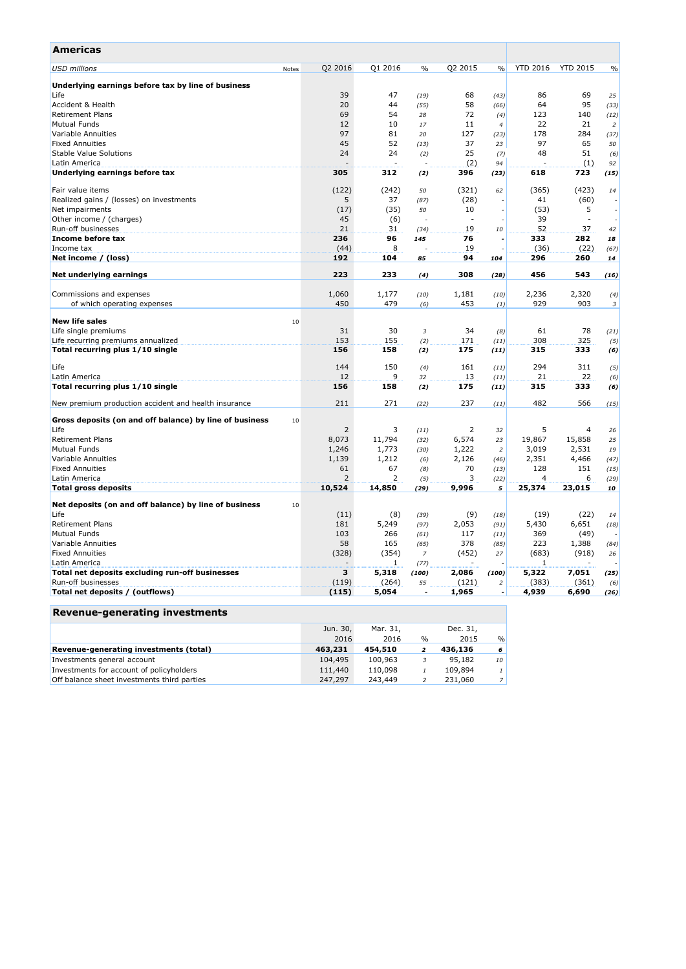| Americas                                                        |       |                |         |                |                |                |                 |                 |                |
|-----------------------------------------------------------------|-------|----------------|---------|----------------|----------------|----------------|-----------------|-----------------|----------------|
| <b>USD</b> millions                                             | Notes | Q2 2016        | Q1 2016 | $\frac{0}{0}$  | Q2 2015        | $\frac{0}{0}$  | <b>YTD 2016</b> | <b>YTD 2015</b> | $\frac{0}{0}$  |
| Underlying earnings before tax by line of business              |       |                |         |                |                |                |                 |                 |                |
| Life                                                            |       | 39             | 47      | (19)           | 68             | (43)           | 86              | 69              | 25             |
| Accident & Health                                               |       | 20             | 44      | (55)           | 58             | (66)           | 64              | 95              | (33)           |
| <b>Retirement Plans</b>                                         |       | 69             | 54      | 28             | 72             | (4)            | 123             | 140             | (12)           |
| <b>Mutual Funds</b>                                             |       | 12             | 10      | 17             | 11             | $\overline{4}$ | 22              | 21              | $\overline{2}$ |
| <b>Variable Annuities</b>                                       |       | 97             | 81      | 20             | 127            | (23)           | 178             | 284             | (37)           |
| <b>Fixed Annuities</b>                                          |       | 45             | 52      | (13)           | 37             | 23             | 97              | 65              | 50             |
| <b>Stable Value Solutions</b>                                   |       | 24             | 24      | (2)            | 25             | (7)            | 48              | 51              | (6)            |
| Latin America                                                   |       |                |         |                | (2)            | 94             |                 | (1)             | 92             |
| Underlying earnings before tax                                  |       | 305            | 312     | (2)            | 396            | (23)           | 618             | 723             | (15)           |
|                                                                 |       |                |         |                |                |                |                 | (423)           |                |
| Fair value items                                                |       | (122)          | (242)   | 50             | (321)          | 62             | (365)           |                 | 14             |
| Realized gains / (losses) on investments                        |       | 5              | 37      | (87)           | (28)           |                | 41              | (60)            |                |
| Net impairments                                                 |       | (17)           | (35)    | 50             | 10             |                | (53)            | 5               | J,             |
| Other income / (charges)                                        |       | 45             | (6)     | J.             | $\overline{a}$ |                | 39              | $\sim$          | $\overline{a}$ |
| Run-off businesses                                              |       | 21             | 31      | (34)           | 19             | 10             | 52              | 37              | 42             |
| Income before tax                                               |       | 236            | 96      | 145            | 76             |                | 333             | 282             | 18             |
| Income tax                                                      |       | (44)           | 8       |                | 19             |                | (36)            | (22)            | (67)           |
| Net income / (loss)                                             |       | 192            | 104     | 85             | 94             | 104            | 296             | 260             | 14             |
| Net underlying earnings                                         |       | 223            | 233     | (4)            | 308            | (28)           | 456             | 543             | (16)           |
| Commissions and expenses                                        |       | 1,060          | 1,177   | (10)           | 1,181          | (10)           | 2,236           | 2,320           | (4)            |
| of which operating expenses                                     |       | 450            | 479     | (6)            | 453            | (1)            | 929             | 903             | 3              |
|                                                                 |       |                |         |                |                |                |                 |                 |                |
| <b>New life sales</b>                                           | 10    |                |         |                |                |                |                 |                 |                |
| Life single premiums                                            |       | 31             | 30      | $\overline{3}$ | 34             | (8)            | 61              | 78              | (21)           |
| Life recurring premiums annualized                              |       | 153            | 155     | (2)            | 171            | (11)           | 308             | 325             | (5)            |
| Total recurring plus 1/10 single                                |       | 156            | 158     | (2)            | 175            | (11)           | 315             | 333             | (6)            |
| Life                                                            |       | 144            | 150     | (4)            | 161            | (11)           | 294             | 311             | (5)            |
| Latin America                                                   |       | 12             | 9       | 32             | 13             | (11)           | 21              | 22              | (6)            |
| Total recurring plus 1/10 single                                |       | 156            | 158     | (2)            | 175            | (11)           | 315             | 333             | (6)            |
| New premium production accident and health insurance            |       | 211            | 271     | (22)           | 237            | (11)           | 482             | 566             | (15)           |
|                                                                 |       |                |         |                |                |                |                 |                 |                |
| Gross deposits (on and off balance) by line of business<br>Life | 10    | $\overline{2}$ | 3       | (11)           | 2              | 32             | 5               | $\overline{4}$  | 26             |
| <b>Retirement Plans</b>                                         |       | 8,073          | 11,794  | (32)           | 6,574          | 23             | 19,867          | 15,858          | 25             |
| Mutual Funds                                                    |       | 1,246          | 1,773   | (30)           | 1,222          | $\overline{2}$ | 3,019           | 2,531           | 19             |
| Variable Annuities                                              |       | 1,139          | 1,212   |                | 2,126          |                | 2,351           | 4,466           |                |
| <b>Fixed Annuities</b>                                          |       | 61             | 67      | (6)            | 70             | (46)           | 128             | 151             | (47)           |
| Latin America                                                   |       | 2              | 2       | (8)            | 3              | (13)           | $\overline{4}$  | 6               | (15)           |
| <b>Total gross deposits</b>                                     |       | 10,524         | 14,850  | (5)<br>(29)    | 9,996          | (22)<br>5      | 25,374          | 23,015          | (29)<br>10     |
|                                                                 |       |                |         |                |                |                |                 |                 |                |
| Net deposits (on and off balance) by line of business           | 10    |                |         |                |                |                |                 |                 |                |
| Life                                                            |       | (11)           | (8)     | (39)           | (9)            | (18)           | (19)            | (22)            | 14             |
| <b>Retirement Plans</b>                                         |       | 181            | 5,249   | (97)           | 2,053          | (91)           | 5,430           | 6,651           | (18)           |
| Mutual Funds                                                    |       | 103            | 266     | (61)           | 117            | (11)           | 369             | (49)            |                |
| Variable Annuities                                              |       | 58             | 165     | (65)           | 378            | (85)           | 223             | 1,388           | (84)           |
| <b>Fixed Annuities</b>                                          |       | (328)          | (354)   | $\overline{z}$ | (452)          | 27             | (683)           | (918)           | 26             |
| Latin America                                                   |       |                | 1       | (77)           |                |                | 1               |                 |                |
| Total net deposits excluding run-off businesses                 |       | 3              | 5,318   | (100)          | 2,086          | (100)          | 5,322           | 7,051           | (25)           |
| Run-off businesses                                              |       | (119)          | (264)   | 55             | (121)          | 2              | (383)           | (361)           | (6)            |
| Total net deposits / (outflows)                                 |       | (115)          | 5,054   |                | 1,965          |                | 4,939           | 6,690           | (26)           |
| <b>Revenue-generating investments</b>                           |       |                |         |                |                |                |                 |                 |                |

|                                             | Jun. 30, | Mar. 31, |   | Dec. 31, |                |
|---------------------------------------------|----------|----------|---|----------|----------------|
|                                             | 2016     | 2016     | % | 2015     | $\%$           |
| Revenue-generating investments (total)      | 463,231  | 454,510  |   | 436,136  | 6              |
| Investments general account                 | 104,495  | 100,963  |   | 95,182   | 10             |
| Investments for account of policyholders    | 111,440  | 110,098  |   | 109,894  |                |
| Off balance sheet investments third parties | 247,297  | 243,449  |   | 231,060  | $\overline{z}$ |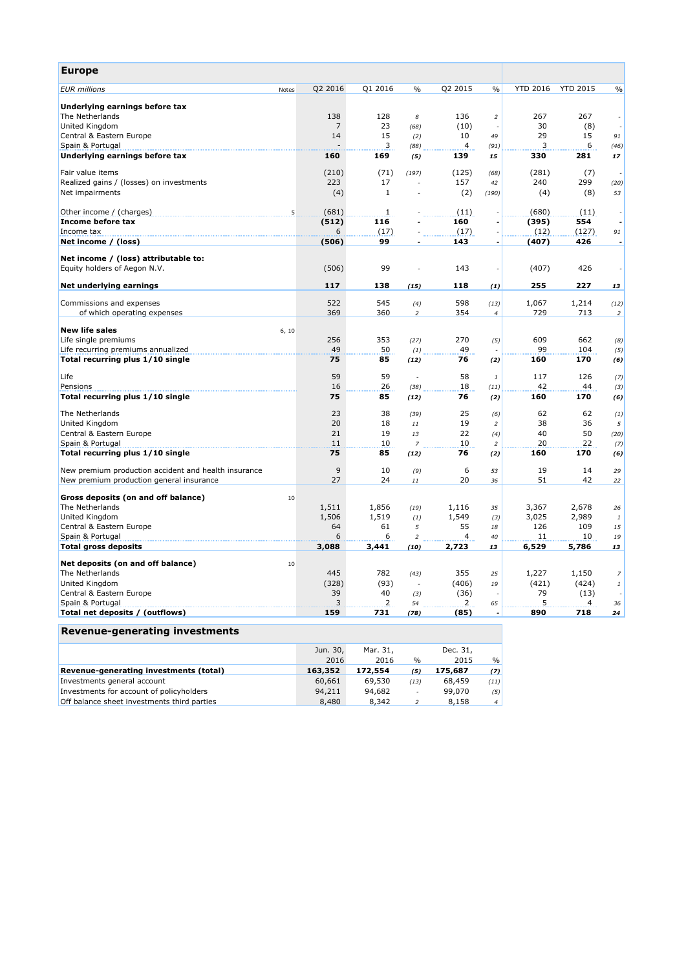| <b>Europe</b>                                        |          |              |                |                |                |                 |                 |                  |
|------------------------------------------------------|----------|--------------|----------------|----------------|----------------|-----------------|-----------------|------------------|
| <b>EUR</b> millions<br>Notes                         | Q2 2016  | Q1 2016      | $\%$           | Q2 2015        | $\frac{0}{0}$  | <b>YTD 2016</b> | <b>YTD 2015</b> | $\frac{0}{0}$    |
| Underlying earnings before tax                       |          |              |                |                |                |                 |                 |                  |
| The Netherlands                                      | 138      | 128          | 8              | 136            | $\overline{2}$ | 267             | 267             | ÷,               |
| United Kingdom                                       | 7        | 23           | (68)           | (10)           |                | 30              | (8)             |                  |
| Central & Eastern Europe                             | 14       | 15           | (2)            | 10             | 49             | 29              | 15              | 91               |
| Spain & Portugal                                     |          | 3            | (88)           | $\overline{4}$ | (91)           | 3               | 6               | (46)             |
| Underlying earnings before tax                       | 160      | 169          | (5)            | 139            | 15             | 330             | 281             | 17               |
| Fair value items                                     | (210)    | (71)         | (197)          | (125)          | (68)           | (281)           | (7)             |                  |
| Realized gains / (losses) on investments             | 223      | 17           |                | 157            | 42             | 240             | 299             | (20)             |
| Net impairments                                      | (4)      | $\mathbf{1}$ |                | (2)            | (190)          | (4)             | (8)             | 53               |
| Other income / (charges)<br>5                        | (681)    | 1            |                | (11)           |                | (680)           | (11)            |                  |
| Income before tax                                    | (512)    | 116          |                | 160            |                | (395)           | 554             |                  |
| Income tax                                           | 6        | (17)         |                | (17)           |                | (12)            | (127)           | 91               |
| Net income / (loss)                                  | (506)    | 99           |                | 143            |                | (407)           | 426             |                  |
| Net income / (loss) attributable to:                 |          |              |                |                |                |                 |                 |                  |
| Equity holders of Aegon N.V.                         | (506)    | 99           |                | 143            |                | (407)           | 426             |                  |
| Net underlying earnings                              | 117      | 138          | (15)           | 118            | (1)            | 255             | 227             | 13               |
| Commissions and expenses                             | 522      | 545          | (4)            | 598            | (13)           | 1,067           | 1,214           | (12)             |
| of which operating expenses                          | 369      | 360          | $\overline{2}$ | 354            | $\overline{4}$ | 729             | 713             | $\overline{2}$   |
| <b>New life sales</b><br>6, 10                       |          |              |                |                |                |                 |                 |                  |
| Life single premiums                                 | 256      | 353          | (27)           | 270            | (5)            | 609             | 662             | (8)              |
| Life recurring premiums annualized                   | 49       | 50           | (1)            | 49             |                | 99              | 104             | (5)              |
| Total recurring plus 1/10 single                     | 75       | 85           | (12)           | 76             | (2)            | 160             | 170             | (6)              |
| Life                                                 | 59       | 59           | ÷,             | 58             | $\mathbf{1}$   | 117             | 126             | (7)              |
| Pensions                                             | 16       | 26           | (38)           | 18             | (11)           | 42              | 44              | (3)              |
| Total recurring plus 1/10 single                     | 75       | 85           | (12)           | 76             | (2)            | 160             | 170             | (6)              |
| The Netherlands                                      | 23       | 38           | (39)           | 25             | (6)            | 62              | 62              | (1)              |
| United Kingdom                                       | 20       | 18           | 11             | 19             | $\overline{2}$ | 38              | 36              | 5                |
| Central & Eastern Europe                             | 21       | 19           | 13             | 22             | (4)            | 40              | 50              | (20)             |
| Spain & Portugal                                     | 11       | 10           | $\overline{z}$ | 10             | $\overline{2}$ | 20              | 22              | (7)              |
| Total recurring plus 1/10 single                     | 75       | 85           | (12)           | 76             | (2)            | 160             | 170             | (6)              |
| New premium production accident and health insurance | 9        | 10           | (9)            | 6              | 53             | 19              | 14              | 29               |
| New premium production general insurance             | 27       | 24           | 11             | 20             | 36             | 51              | 42              | 22               |
| Gross deposits (on and off balance)<br>10            |          |              |                |                |                |                 |                 |                  |
| The Netherlands                                      | 1,511    | 1,856        | (19)           | 1,116          | 35             | 3,367           | 2,678           | 26               |
| United Kingdom                                       | 1,506    | 1,519        | (1)            | 1,549          | (3)            | 3,025           | 2,989           | $\it 1$          |
| Central & Eastern Europe                             | 64       | 61           | 5              | 55             | 18             | 126             | 109             | 15               |
| Spain & Portugal                                     | 6        | 6            | $\overline{2}$ | 4              | 40             | 11              | 10              | 19               |
| <b>Total gross deposits</b>                          | 3,088    | 3,441        | (10)           | 2,723          | 13             | 6,529           | 5,786           | 13               |
| Net deposits (on and off balance)<br>10              |          |              |                |                |                |                 |                 |                  |
| The Netherlands                                      | 445      | 782          | (43)           | 355            | 25             | 1,227           | 1,150           | $\boldsymbol{z}$ |
| United Kingdom                                       | (328)    | (93)         | $\bar{z}$      | (406)          | 19             | (421)           | (424)           | $\it 1$          |
| Central & Eastern Europe                             | 39       | 40           | (3)            | (36)           |                | 79              | (13)            |                  |
| Spain & Portugal                                     | 3        | 2            | 54             | 2              | 65             | 5               | 4               | 36               |
| Total net deposits / (outflows)                      | 159      | 731          | (78)           | (85)           |                | 890             | 718             | 24               |
| <b>Revenue-generating investments</b>                |          |              |                |                |                |                 |                 |                  |
|                                                      | Jun. 30, | Mar. 31,     |                | Dec. 31,       |                |                 |                 |                  |
|                                                      |          |              |                |                |                |                 |                 |                  |

|                                             | Jun. 30, | Mar. 31, |               | Dec. 31, |                |
|---------------------------------------------|----------|----------|---------------|----------|----------------|
|                                             | 2016     | 2016     | $\frac{0}{0}$ | 2015     | $\frac{0}{0}$  |
| Revenue-generating investments (total)      | 163,352  | 172,554  | (5)           | 175,687  | (7)            |
| Investments general account                 | 60,661   | 69,530   | (13)          | 68,459   | (11)           |
| Investments for account of policyholders    | 94,211   | 94,682   |               | 99,070   | (5)            |
| Off balance sheet investments third parties | 8,480    | 8.342    |               | 8,158    | $\overline{a}$ |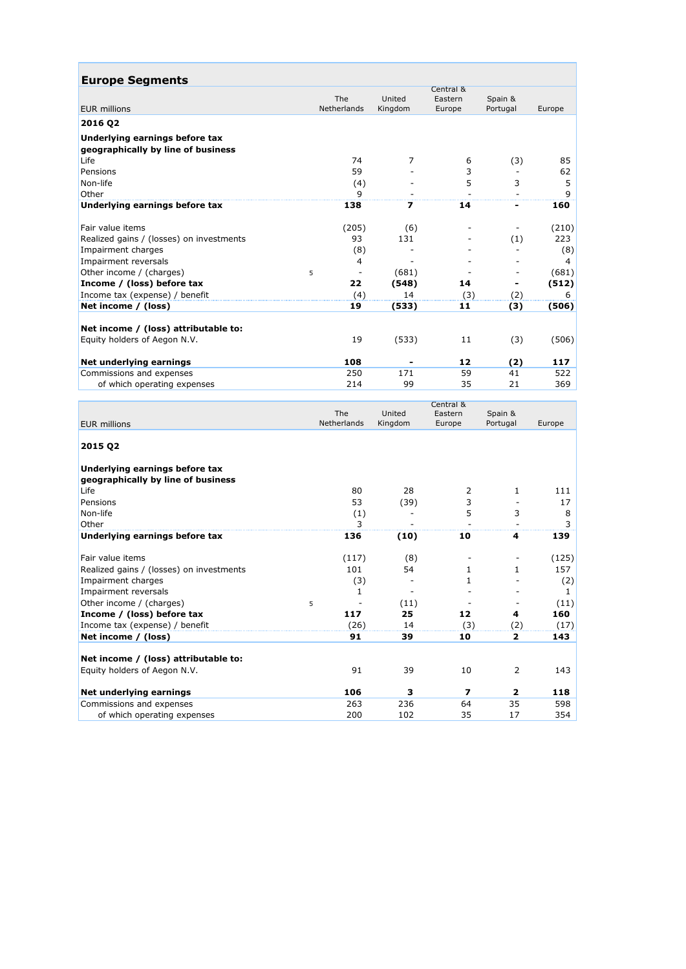| <b>Europe Segments</b>                                               |                               |                           | Central &                |                          |              |
|----------------------------------------------------------------------|-------------------------------|---------------------------|--------------------------|--------------------------|--------------|
|                                                                      | The                           | United                    | Eastern                  | Spain &                  |              |
| <b>EUR millions</b>                                                  | Netherlands                   | Kingdom                   | Europe                   | Portugal                 | Europe       |
| 2016 Q2                                                              |                               |                           |                          |                          |              |
| Underlying earnings before tax                                       |                               |                           |                          |                          |              |
| geographically by line of business                                   |                               |                           |                          |                          |              |
| Life                                                                 | 74                            | 7                         | 6                        | (3)                      | 85           |
| Pensions                                                             | 59                            |                           | 3                        |                          | 62           |
| Non-life                                                             | (4)                           |                           | 5                        | 3                        | 5            |
| Other                                                                | 9                             |                           |                          |                          | 9            |
| Underlying earnings before tax                                       | 138                           | 7                         | 14                       | $\overline{\phantom{a}}$ | 160          |
| Fair value items                                                     | (205)                         | (6)                       |                          |                          | (210)        |
| Realized gains / (losses) on investments                             | 93                            | 131                       |                          | (1)                      | 223          |
| Impairment charges                                                   | (8)                           |                           |                          |                          | (8)          |
| Impairment reversals                                                 | 4                             |                           | $\overline{\phantom{a}}$ | $\overline{\phantom{a}}$ | 4            |
| Other income / (charges)                                             | $\overline{\phantom{a}}$<br>5 | (681)                     |                          |                          | (681)        |
| Income / (loss) before tax                                           | 22                            | (548)                     | 14                       | $\blacksquare$           | (512)        |
| Income tax (expense) / benefit                                       | (4)                           | 14                        | (3)                      | (2)                      | 6            |
| Net income / (loss)                                                  | 19                            | (533)                     | 11                       | (3)                      | (506)        |
|                                                                      |                               |                           |                          |                          |              |
| Net income / (loss) attributable to:                                 |                               |                           |                          |                          |              |
| Equity holders of Aegon N.V.                                         | 19                            | (533)                     | 11                       | (3)                      | (506)        |
|                                                                      |                               |                           |                          |                          |              |
| Net underlying earnings                                              | 108                           |                           | 12                       | (2)                      | 117          |
| Commissions and expenses                                             | 250                           | 171                       | 59                       | 41                       | 522          |
| of which operating expenses                                          | 214                           | 99                        | 35                       | 21                       | 369          |
|                                                                      |                               |                           |                          |                          |              |
|                                                                      |                               |                           |                          |                          |              |
|                                                                      | The                           | United                    | Central &<br>Eastern     | Spain &                  |              |
| <b>EUR millions</b>                                                  | Netherlands                   | Kingdom                   | Europe                   | Portugal                 | Europe       |
|                                                                      |                               |                           |                          |                          |              |
| 2015 Q2                                                              |                               |                           |                          |                          |              |
| Underlying earnings before tax                                       |                               |                           |                          |                          |              |
| geographically by line of business                                   |                               |                           |                          |                          |              |
| Life                                                                 | 80                            | 28                        | 2                        | $\mathbf{1}$             | 111          |
| Pensions                                                             | 53                            |                           | 3                        |                          | 17           |
| Non-life                                                             | (1)                           | (39)<br>$\qquad \qquad -$ | 5                        | 3                        | 8            |
| Other                                                                | 3                             |                           |                          |                          | 3            |
| Underlying earnings before tax                                       | 136                           | (10)                      | 10                       | 4                        | 139          |
|                                                                      |                               |                           |                          |                          |              |
| Fair value items                                                     | (117)                         | (8)                       |                          |                          | (125)        |
| Realized gains / (losses) on investments                             | 101                           | 54                        | 1                        | 1                        | 157          |
| Impairment charges                                                   | (3)                           |                           | 1                        |                          | (2)          |
| Impairment reversals                                                 | 1                             | $\frac{1}{2}$             |                          |                          | $\mathbf{1}$ |
| Other income / (charges)                                             | $\overline{\phantom{a}}$<br>5 | (11)                      |                          |                          | (11)         |
| Income / (loss) before tax                                           | 117                           | 25                        | 12                       | 4                        | 160          |
| Income tax (expense) / benefit                                       | (26)                          | 14                        | (3)                      | (2)                      | (17)         |
| Net income / (loss)                                                  | 91                            | 39                        | 10                       | 2                        | 143          |
|                                                                      |                               |                           |                          |                          |              |
| Net income / (loss) attributable to:<br>Equity holders of Aegon N.V. | 91                            | 39                        | 10                       | 2                        | 143          |
|                                                                      |                               |                           |                          |                          |              |
| Net underlying earnings                                              | 106                           | з                         | 7                        | 2                        | 118          |
| Commissions and expenses<br>of which operating expenses              | 263<br>200                    | 236<br>102                | 64<br>35                 | 35<br>17                 | 598<br>354   |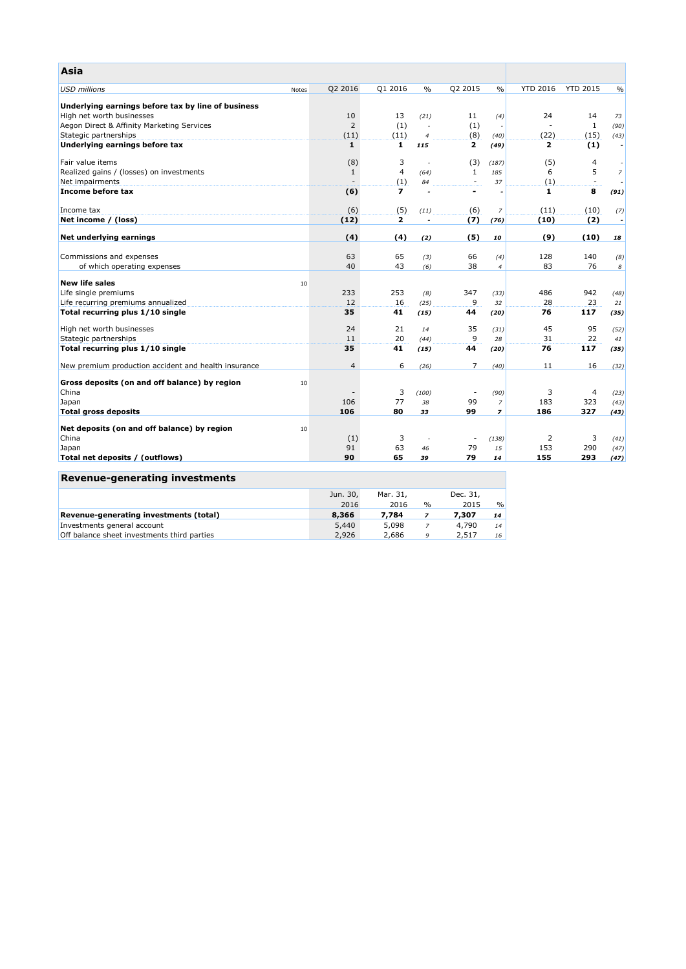| Asia                                                                            |       |                |                          |                          |                          |                |                      |                          |                          |
|---------------------------------------------------------------------------------|-------|----------------|--------------------------|--------------------------|--------------------------|----------------|----------------------|--------------------------|--------------------------|
| <b>USD</b> millions                                                             | Notes | Q2 2016        | Q1 2016                  | $\%$                     | Q2 2015                  | $\frac{0}{0}$  | <b>YTD 2016</b>      | <b>YTD 2015</b>          | $\frac{0}{0}$            |
|                                                                                 |       |                |                          |                          |                          |                |                      |                          |                          |
| Underlying earnings before tax by line of business<br>High net worth businesses |       | 10             | 13                       | (21)                     | 11                       | (4)            | 24                   | 14                       | 73                       |
| Aegon Direct & Affinity Marketing Services                                      |       | $\overline{2}$ | (1)                      |                          | (1)                      |                | $\ddot{\phantom{1}}$ | $\mathbf{1}$             |                          |
| Stategic partnerships                                                           |       | (11)           | (11)                     | $\overline{4}$           | (8)                      | (40)           | (22)                 | (15)                     | (90)<br>(43)             |
| Underlying earnings before tax                                                  |       | 1              | 1                        | 115                      | $\mathbf{z}$             | (49)           | $\mathbf{2}$         | (1)                      | $\overline{\phantom{a}}$ |
|                                                                                 |       |                |                          |                          |                          |                |                      |                          |                          |
| Fair value items                                                                |       | (8)            | 3                        |                          | (3)                      | (187)          | (5)                  | 4                        |                          |
| Realized gains / (losses) on investments                                        |       | $\mathbf{1}$   | $\overline{4}$           | (64)                     | 1                        | 185            | 6                    | 5                        | $\overline{z}$           |
| Net impairments                                                                 |       | $\sim$         | (1)                      | 84                       | $\sim$                   | 37             | (1)                  | $\overline{\phantom{a}}$ |                          |
| Income before tax                                                               |       | (6)            | $\overline{\phantom{a}}$ |                          | $\overline{\phantom{0}}$ |                | 1                    | 8                        | (91)                     |
| Income tax                                                                      |       | (6)            | (5)                      | (11)                     | (6)                      | $\overline{z}$ | (11)                 | (10)                     | (7)                      |
| Net income / (loss)                                                             |       | (12)           | $\mathbf{z}$             |                          | (7)                      | (76)           | (10)                 | (2)                      | $\overline{\phantom{a}}$ |
| Net underlying earnings                                                         |       | (4)            | (4)                      | (2)                      | (5)                      | 10             | (9)                  | (10)                     | 18                       |
| Commissions and expenses                                                        |       | 63             | 65                       | (3)                      | 66                       | (4)            | 128                  | 140                      | (8)                      |
| of which operating expenses                                                     |       | 40             | 43                       | (6)                      | 38                       | $\overline{4}$ | 83                   | 76                       | 8                        |
|                                                                                 |       |                |                          |                          |                          |                |                      |                          |                          |
| <b>New life sales</b>                                                           | 10    |                |                          |                          |                          |                |                      |                          |                          |
| Life single premiums                                                            |       | 233            | 253                      | (8)                      | 347                      | (33)           | 486                  | 942                      | (48)                     |
| Life recurring premiums annualized                                              |       | 12             | 16                       | (25)                     | 9                        | 32             | 28                   | 23                       | 21                       |
| Total recurring plus 1/10 single                                                |       | 35             | 41                       | (15)                     | 44                       | (20)           | 76                   | 117                      | (35)                     |
| High net worth businesses                                                       |       | 24             | 21                       | 14                       | 35                       | (31)           | 45                   | 95                       | (52)                     |
| Stategic partnerships                                                           |       | 11             | 20                       | (44)                     | 9                        | 28             | 31                   | 22                       | 41                       |
| Total recurring plus 1/10 single                                                |       | 35             | 41                       | (15)                     | 44                       | (20)           | 76                   | 117                      | (35)                     |
| New premium production accident and health insurance                            |       | $\overline{4}$ | 6                        | (26)                     | $\overline{7}$           | (40)           | 11                   | 16                       | (32)                     |
| Gross deposits (on and off balance) by region                                   | 10    |                |                          |                          |                          |                |                      |                          |                          |
| China                                                                           |       |                | 3                        | (100)                    |                          | (90)           | 3                    | 4                        | (23)                     |
| Japan                                                                           |       | 106            | 77                       | 38                       | 99                       | $\overline{z}$ | 183                  | 323                      | (43)                     |
| <b>Total gross deposits</b>                                                     |       | 106            | 80                       | 33                       | 99                       | $\overline{z}$ | 186                  | 327                      | (43)                     |
| Net deposits (on and off balance) by region                                     | 10    |                |                          |                          |                          |                |                      |                          |                          |
| China                                                                           |       | (1)            | 3                        | $\overline{\phantom{a}}$ |                          | (138)          | $\overline{2}$       | 3                        | (41)                     |
| Japan                                                                           |       | 91             | 63                       | 46                       | 79                       | 15             | 153                  | 290                      | (47)                     |
| Total net deposits / (outflows)                                                 |       | 90             | 65                       | 39                       | 79                       | 14             | 155                  | 293                      | (47)                     |
| <b>Revenue-generating investments</b>                                           |       |                |                          |                          |                          |                |                      |                          |                          |

|                                             | Jun. 30, | Mar. 31, |         | Dec. 31, |               |
|---------------------------------------------|----------|----------|---------|----------|---------------|
|                                             | 2016     | 2016     | $\%$    | 2015     | $\frac{0}{0}$ |
| Revenue-generating investments (total)      | 8,366    | 7.784    |         | 7.307    | 14            |
| Investments general account                 | 5,440    | 5,098    |         | 4.790    | 14            |
| Off balance sheet investments third parties | 2,926    | 2,686    | $\circ$ | 2.517    | 16            |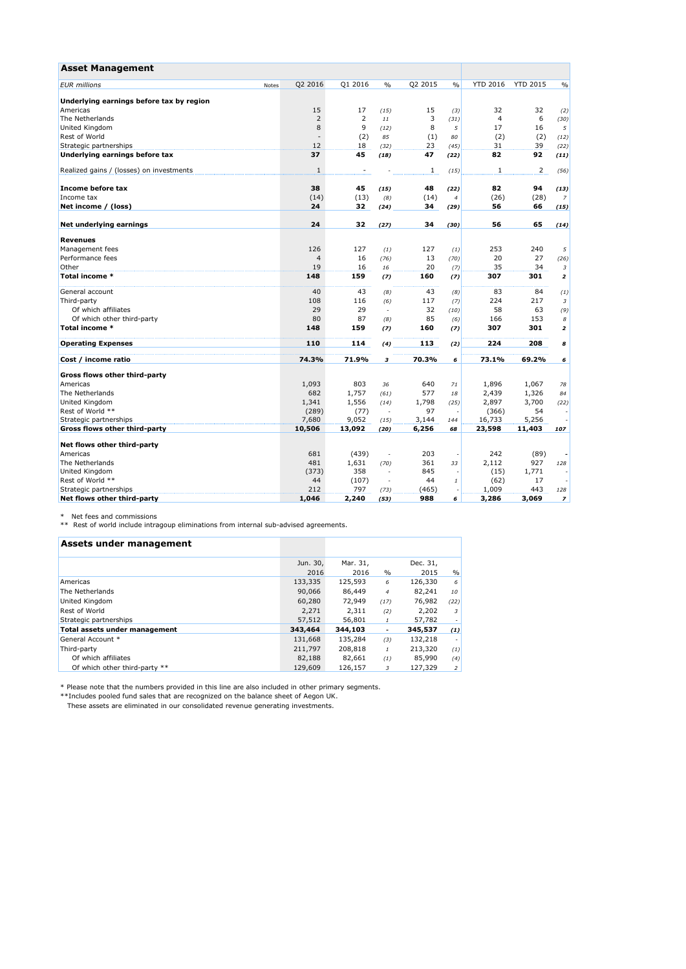| <b>Asset Management</b>                  |                  |                |                |         |                |                 |                 |                         |
|------------------------------------------|------------------|----------------|----------------|---------|----------------|-----------------|-----------------|-------------------------|
| <b>EUR</b> millions                      | Q2 2016<br>Notes | Q1 2016        | $\frac{0}{0}$  | Q2 2015 | $\frac{0}{0}$  | <b>YTD 2016</b> | <b>YTD 2015</b> | $\%$                    |
| Underlying earnings before tax by region |                  |                |                |         |                |                 |                 |                         |
| Americas                                 | 15               | 17             | (15)           | 15      | (3)            | 32              | 32              | (2)                     |
| The Netherlands                          | 2                | $\overline{2}$ | 11             | 3       | (31)           | 4               | 6               | (30)                    |
| United Kingdom                           | 8                | 9              | (12)           | 8       | 5              | 17              | 16              | 5                       |
| Rest of World                            |                  | (2)            | 85             | (1)     | 80             | (2)             | (2)             | (12)                    |
| Strategic partnerships                   | 12               | 18             | (32)           | 23      | (45)           | 31              | 39              | (22)                    |
| Underlying earnings before tax           | 37               | 45             | (18)           | 47      | (22)           | 82              | 92              | (11)                    |
| Realized gains / (losses) on investments | $\mathbf{1}$     |                |                | 1       | (15)           | $\mathbf{1}$    | 2               | (56)                    |
| Income before tax                        | 38               | 45             | (15)           | 48      | (22)           | 82              | 94              | (13)                    |
| Income tax                               | (14)             | (13)           | (8)            | (14)    | $\overline{4}$ | (26)            | (28)            | 7 <sup>1</sup>          |
| Net income / (loss)                      | 24               | 32             | (24)           | 34      | (29)           | 56              | 66              | (15)                    |
| Net underlying earnings                  | 24               | 32             | (27)           | 34      | (30)           | 56              | 65              | (14)                    |
| <b>Revenues</b>                          |                  |                |                |         |                |                 |                 |                         |
| Management fees                          | 126              | 127            | (1)            | 127     | (1)            | 253             | 240             | 5                       |
| Performance fees                         | $\overline{4}$   | 16             | (76)           | 13      | (70)           | 20              | 27              | (26)                    |
| Other                                    | 19               | 16             | 16             | 20      | (7)            | 35              | 34              | $\overline{3}$          |
| Total income *                           | 148              | 159            | (7)            | 160     | (7)            | 307             | 301             | $\overline{\mathbf{z}}$ |
| General account                          | 40               | 43             | (8)            | 43      | (8)            | 83              | 84              | (1)                     |
| Third-party                              | 108              | 116            | (6)            | 117     | (7)            | 224             | 217             | 3                       |
| Of which affiliates                      | 29               | 29             | $\overline{a}$ | 32      | (10)           | 58              | 63              | (9)                     |
| Of which other third-party               | 80               | 87             | (8)            | 85      | (6)            | 166             | 153             | 8                       |
| Total income *                           | 148              | 159            | (7)            | 160     | (7)            | 307             | 301             | 2                       |
| <b>Operating Expenses</b>                | 110              | 114            | (4)            | 113     | (2)            | 224             | 208             | 8                       |
| Cost / income ratio                      | 74.3%            | 71.9%          | з              | 70.3%   | 6              | 73.1%           | 69.2%           | 6                       |
| Gross flows other third-party            |                  |                |                |         |                |                 |                 |                         |
| Americas                                 | 1,093            | 803            | 36             | 640     | 71             | 1,896           | 1,067           | 78                      |
| The Netherlands                          | 682              | 1,757          | (61)           | 577     | 18             | 2,439           | 1,326           | 84                      |
| United Kingdom                           | 1,341            | 1,556          | (14)           | 1,798   | (25)           | 2,897           | 3,700           | (22)                    |
| Rest of World **                         | (289)            | (77)           | $\overline{a}$ | 97      |                | (366)           | 54              |                         |
| Strategic partnerships                   | 7,680            | 9,052          | (15)           | 3,144   | 144            | 16,733          | 5,256           |                         |
| Gross flows other third-party            | 10,506           | 13,092         | (20)           | 6,256   | 68             | 23,598          | 11,403          | 107                     |
| Net flows other third-party              |                  |                |                |         |                |                 |                 |                         |
| Americas                                 | 681              | (439)          |                | 203     |                | 242             | (89)            |                         |
| The Netherlands                          | 481              | 1,631          | (70)           | 361     | 33             | 2,112           | 927             | 128                     |
| United Kingdom                           | (373)            | 358            | $\overline{a}$ | 845     |                | (15)            | 1,771           | $\overline{a}$          |
| Rest of World **                         | 44               | (107)          |                | 44      | $\it 1$        | (62)            | 17              | ٠                       |
| Strategic partnerships                   | 212              | 797            | (73)           | (465)   |                | 1,009           | 443             | 128                     |
| Net flows other third-party              | 1,046            | 2,240          | (53)           | 988     | 6              | 3,286           | 3,069           | $\overline{z}$          |

\* Net fees and commissions \*\* Rest of world include intragoup eliminations from internal sub-advised agreements.

## **Assets under management**

|                                      | Jun. 30, | Mar. 31. |                          | Dec. 31. |                          |
|--------------------------------------|----------|----------|--------------------------|----------|--------------------------|
|                                      | 2016     | 2016     | $\frac{0}{0}$            | 2015     | $\%$                     |
| Americas                             | 133,335  | 125,593  | 6                        | 126,330  | 6                        |
| The Netherlands                      | 90,066   | 86,449   | $\overline{4}$           | 82,241   | 10                       |
| United Kingdom                       | 60,280   | 72,949   | (17)                     | 76,982   | (22)                     |
| Rest of World                        | 2,271    | 2.311    | (2)                      | 2,202    | 3                        |
| Strategic partnerships               | 57,512   | 56,801   |                          | 57.782   |                          |
| <b>Total assets under management</b> | 343,464  | 344,103  | $\overline{\phantom{a}}$ | 345,537  | (1)                      |
| General Account *                    | 131,668  | 135,284  | (3)                      | 132,218  | $\overline{\phantom{a}}$ |
| Third-party                          | 211,797  | 208,818  | $\mathbf{1}$             | 213,320  | (1)                      |
| Of which affiliates                  | 82,188   | 82.661   | (1)                      | 85,990   | (4)                      |
| Of which other third-party **        | 129,609  | 126.157  | 3                        | 127,329  | 2                        |

\* Please note that the numbers provided in this line are also included in other primary segments.

\*\*Includes pooled fund sales that are recognized on the balance sheet of Aegon UK.

These assets are eliminated in our consolidated revenue generating investments.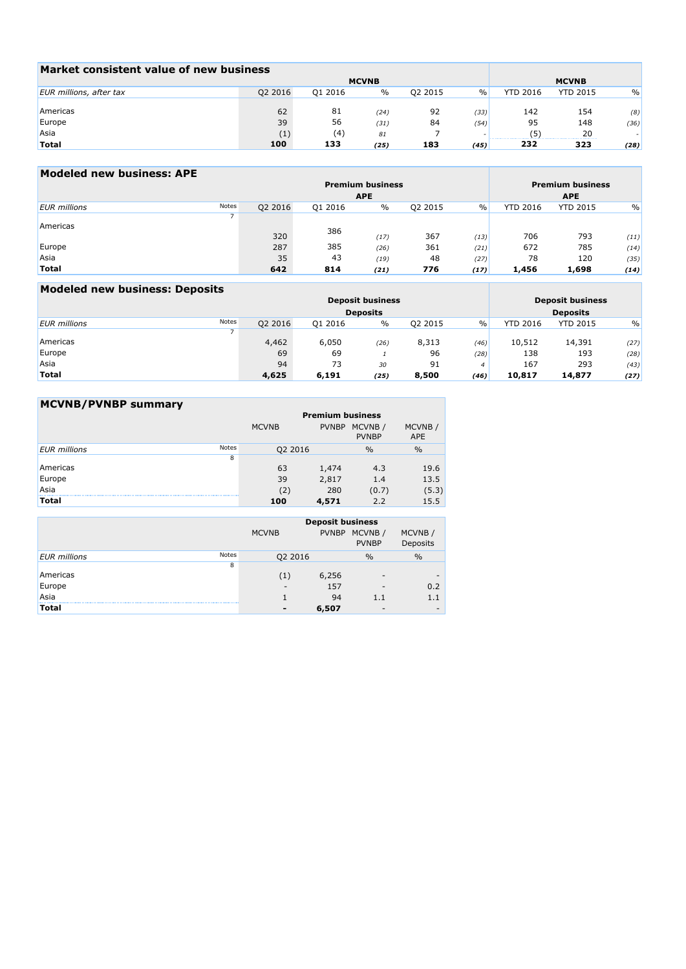| Market consistent value of new business |         |         |              |         |      |                 |                 |               |  |  |
|-----------------------------------------|---------|---------|--------------|---------|------|-----------------|-----------------|---------------|--|--|
|                                         |         |         | <b>MCVNB</b> |         |      | <b>MCVNB</b>    |                 |               |  |  |
| EUR millions, after tax                 | Q2 2016 | 01 2016 | $\%$         | 02 2015 | $\%$ | <b>YTD 2016</b> | <b>YTD 2015</b> | $\frac{0}{0}$ |  |  |
|                                         |         |         |              |         |      |                 |                 |               |  |  |
| Americas                                | 62      | 81      | (24)         | 92      | (33) | 142             | 154             | (8)           |  |  |
| Europe                                  | 39      | 56      | (31)         | 84      | (54) | 95              | 148             | (36)          |  |  |
| Asia                                    | (1)     | (4)     | 81           |         |      | '51             | 20              |               |  |  |
| Total                                   | 100     | 133     | (25)         | 183     | (45) | 232             | 323             | (28)          |  |  |

| <b>Modeled new business: APE</b> |              |         |                         |                         |         |      |                 |                 |      |
|----------------------------------|--------------|---------|-------------------------|-------------------------|---------|------|-----------------|-----------------|------|
|                                  |              |         | <b>Premium business</b> | <b>Premium business</b> |         |      |                 |                 |      |
|                                  |              |         |                         | <b>APE</b>              |         |      |                 | <b>APE</b>      |      |
| <b>EUR</b> millions              | <b>Notes</b> | Q2 2016 | Q1 2016                 | $\%$                    | Q2 2015 | $\%$ | <b>YTD 2016</b> | <b>YTD 2015</b> | $\%$ |
|                                  |              |         |                         |                         |         |      |                 |                 |      |
| Americas                         |              |         | 386                     |                         |         |      |                 |                 |      |
|                                  |              | 320     |                         | (17)                    | 367     | (13) | 706             | 793             | (11) |
| Europe                           |              | 287     | 385                     | (26)                    | 361     | (21) | 672             | 785             | (14) |
| Asia                             |              | 35      | 43                      | (19)                    | 48      | (27) | 78              | 120             | (35) |
| <b>Total</b>                     |              | 642     | 814                     | (21)                    | 776     | (17) | 1,456           | 1,698           | (14) |

## **Modeled new business: Deposits**

|                     |       |         | <b>Deposit business</b><br><b>Deposits</b> |      | <b>Deposit business</b><br><b>Deposits</b> |               |                 |                 |      |
|---------------------|-------|---------|--------------------------------------------|------|--------------------------------------------|---------------|-----------------|-----------------|------|
| <b>EUR</b> millions | Notes | Q2 2016 | Q1 2016                                    | $\%$ | Q2 2015                                    | $\frac{0}{0}$ | <b>YTD 2016</b> | <b>YTD 2015</b> | $\%$ |
|                     |       |         |                                            |      |                                            |               |                 |                 |      |
| Americas            |       | 4,462   | 6,050                                      | (26) | 8,313                                      | (46)          | 10,512          | 14,391          | (27) |
| Europe              |       | 69      | 69                                         |      | 96                                         | (28)          | 138             | 193             | (28) |
| Asia                |       | 94      | 73                                         | 30   | 91                                         |               | 167             | 293             | (43) |
| <b>Total</b>        |       | 4,625   | 6,191                                      | (25) | 8,500                                      | (46)          | 10,817          | 14,877          | (27) |

| <b>MCVNB/PVNBP summary</b> |              | <b>MCVNB</b> | <b>Premium business</b><br><b>PVNBP</b> | MCVNB/        | MCVNB/        |
|----------------------------|--------------|--------------|-----------------------------------------|---------------|---------------|
|                            |              |              |                                         | <b>PVNBP</b>  | <b>APE</b>    |
| <b>EUR</b> millions        | <b>Notes</b> | Q2 2016      |                                         | $\frac{0}{0}$ | $\frac{0}{0}$ |
|                            | 8            |              |                                         |               |               |
| Americas                   |              | 63           | 1,474                                   | 4.3           | 19.6          |
| Europe                     |              | 39           | 2,817                                   | 1.4           | 13.5          |
| Asia                       |              | (2)          | 280                                     | (0.7)         | (5.3)         |
| <b>Total</b>               |              | 100          | 4,571                                   | 2.2           | 15.5          |
|                            |              |              |                                         |               |               |

|                     |       | <b>Deposit business</b>  |               |                          |                    |  |  |  |  |  |
|---------------------|-------|--------------------------|---------------|--------------------------|--------------------|--|--|--|--|--|
|                     |       | <b>MCVNB</b>             | <b>PVNBP</b>  | MCVNB/<br><b>PVNBP</b>   | MCVNB/<br>Deposits |  |  |  |  |  |
| <b>EUR</b> millions | Notes | Q2 2016                  | $\frac{0}{0}$ |                          | $\frac{0}{0}$      |  |  |  |  |  |
|                     | 8     |                          |               |                          |                    |  |  |  |  |  |
| Americas            |       | (1)                      | 6,256         | $\overline{\phantom{0}}$ |                    |  |  |  |  |  |
| Europe              |       |                          | 157           |                          | 0.2                |  |  |  |  |  |
| Asia                |       |                          | 94            | 1.1                      |                    |  |  |  |  |  |
| <b>Total</b>        |       | $\overline{\phantom{0}}$ | 6,507         | ۰                        |                    |  |  |  |  |  |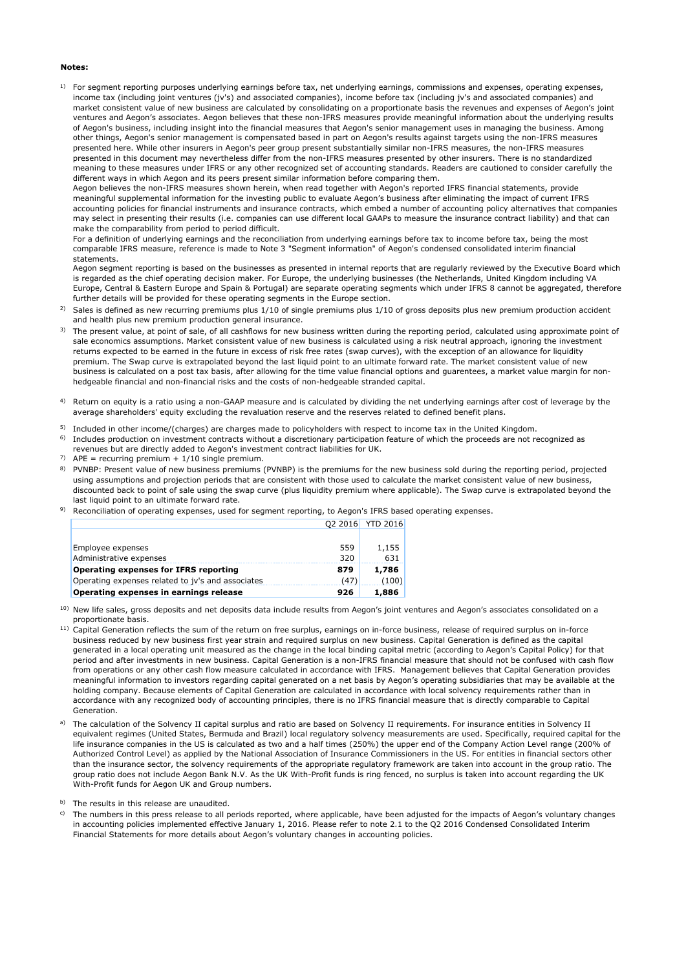### **Notes:**

<sup>1)</sup> For segment reporting purposes underlying earnings before tax, net underlying earnings, commissions and expenses, operating expenses, income tax (including joint ventures (jv's) and associated companies), income before tax (including jv's and associated companies) and market consistent value of new business are calculated by consolidating on a proportionate basis the revenues and expenses of Aegon's joint ventures and Aegon's associates. Aegon believes that these non-IFRS measures provide meaningful information about the underlying results of Aegon's business, including insight into the financial measures that Aegon's senior management uses in managing the business. Among other things, Aegon's senior management is compensated based in part on Aegon's results against targets using the non-IFRS measures presented here. While other insurers in Aegon's peer group present substantially similar non-IFRS measures, the non-IFRS measures presented in this document may nevertheless differ from the non-IFRS measures presented by other insurers. There is no standardized meaning to these measures under IFRS or any other recognized set of accounting standards. Readers are cautioned to consider carefully the different ways in which Aegon and its peers present similar information before comparing them.

Aegon believes the non-IFRS measures shown herein, when read together with Aegon's reported IFRS financial statements, provide meaningful supplemental information for the investing public to evaluate Aegon's business after eliminating the impact of current IFRS accounting policies for financial instruments and insurance contracts, which embed a number of accounting policy alternatives that companies may select in presenting their results (i.e. companies can use different local GAAPs to measure the insurance contract liability) and that can make the comparability from period to period difficult.

For a definition of underlying earnings and the reconciliation from underlying earnings before tax to income before tax, being the most comparable IFRS measure, reference is made to Note 3 "Segment information" of Aegon's condensed consolidated interim financial statements.

Aegon segment reporting is based on the businesses as presented in internal reports that are regularly reviewed by the Executive Board which is regarded as the chief operating decision maker. For Europe, the underlying businesses (the Netherlands, United Kingdom including VA Europe, Central & Eastern Europe and Spain & Portugal) are separate operating segments which under IFRS 8 cannot be aggregated, therefore further details will be provided for these operating segments in the Europe section.

- 2) Sales is defined as new recurring premiums plus 1/10 of single premiums plus 1/10 of gross deposits plus new premium production accident and health plus new premium production general insurance.
- 3) The present value, at point of sale, of all cashflows for new business written during the reporting period, calculated using approximate point of sale economics assumptions. Market consistent value of new business is calculated using a risk neutral approach, ignoring the investment returns expected to be earned in the future in excess of risk free rates (swap curves), with the exception of an allowance for liquidity premium. The Swap curve is extrapolated beyond the last liquid point to an ultimate forward rate. The market consistent value of new business is calculated on a post tax basis, after allowing for the time value financial options and guarentees, a market value margin for nonhedgeable financial and non-financial risks and the costs of non-hedgeable stranded capital.
- 4) Return on equity is a ratio using a non-GAAP measure and is calculated by dividing the net underlying earnings after cost of leverage by the average shareholders' equity excluding the revaluation reserve and the reserves related to defined benefit plans.
- 5) Included in other income/(charges) are charges made to policyholders with respect to income tax in the United Kingdom.
- 6) Includes production on investment contracts without a discretionary participation feature of which the proceeds are not recognized as revenues but are directly added to Aegon's investment contract liabilities for UK.
- 7)  $APE = recurring premium + 1/10 single premium$ .
- <sup>8)</sup> PVNBP: Present value of new business premiums (PVNBP) is the premiums for the new business sold during the reporting period, projected using assumptions and projection periods that are consistent with those used to calculate the market consistent value of new business, discounted back to point of sale using the swap curve (plus liquidity premium where applicable). The Swap curve is extrapolated beyond the last liquid point to an ultimate forward rate.
- 9) Reconciliation of operating expenses, used for segment reporting, to Aegon's IFRS based operating expenses.

| Operating expenses in earnings release            | 926  | 1,886            |
|---------------------------------------------------|------|------------------|
| Operating expenses related to jv's and associates | (47) | (100)            |
| Operating expenses for IFRS reporting             | 879  | 1,786            |
| Administrative expenses                           | 320  | 631              |
| Employee expenses                                 | 559  | 1,155            |
|                                                   |      |                  |
|                                                   |      | Q2 2016 YTD 2016 |

<sup>10)</sup> New life sales, gross deposits and net deposits data include results from Aegon's joint ventures and Aegon's associates consolidated on a proportionate basis.

- <sup>11)</sup> Capital Generation reflects the sum of the return on free surplus, earnings on in-force business, release of required surplus on in-force business reduced by new business first year strain and required surplus on new business. Capital Generation is defined as the capital generated in a local operating unit measured as the change in the local binding capital metric (according to Aegon's Capital Policy) for that period and after investments in new business. Capital Generation is a non-IFRS financial measure that should not be confused with cash flow from operations or any other cash flow measure calculated in accordance with IFRS. Management believes that Capital Generation provides meaningful information to investors regarding capital generated on a net basis by Aegon's operating subsidiaries that may be available at the holding company. Because elements of Capital Generation are calculated in accordance with local solvency requirements rather than in accordance with any recognized body of accounting principles, there is no IFRS financial measure that is directly comparable to Capital Generation.
- a) The calculation of the Solvency II capital surplus and ratio are based on Solvency II requirements. For insurance entities in Solvency II equivalent regimes (United States, Bermuda and Brazil) local regulatory solvency measurements are used. Specifically, required capital for the life insurance companies in the US is calculated as two and a half times (250%) the upper end of the Company Action Level range (200% of Authorized Control Level) as applied by the National Association of Insurance Commissioners in the US. For entities in financial sectors other than the insurance sector, the solvency requirements of the appropriate regulatory framework are taken into account in the group ratio. The group ratio does not include Aegon Bank N.V. As the UK With-Profit funds is ring fenced, no surplus is taken into account regarding the UK With-Profit funds for Aegon UK and Group numbers.

b) The results in this release are unaudited.

c) The numbers in this press release to all periods reported, where applicable, have been adjusted for the impacts of Aegon's voluntary changes in accounting policies implemented effective January 1, 2016. Please refer to note 2.1 to the Q2 2016 Condensed Consolidated Interim Financial Statements for more details about Aegon's voluntary changes in accounting policies.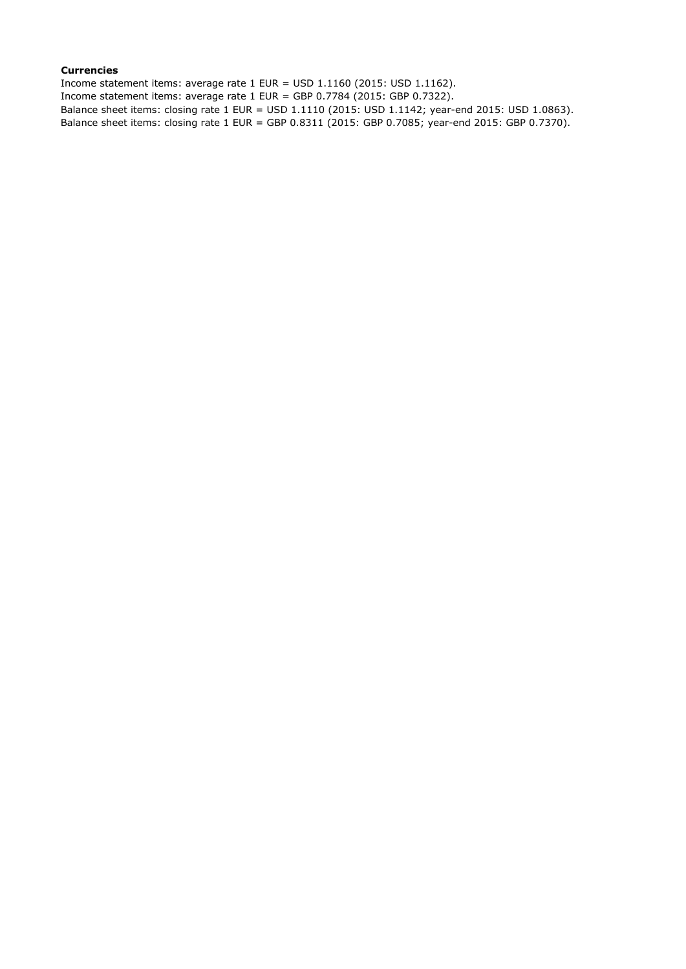## **Currencies**

Income statement items: average rate 1 EUR = USD 1.1160 (2015: USD 1.1162). Income statement items: average rate 1 EUR = GBP 0.7784 (2015: GBP 0.7322). Balance sheet items: closing rate 1 EUR = USD 1.1110 (2015: USD 1.1142; year-end 2015: USD 1.0863). Balance sheet items: closing rate 1 EUR = GBP 0.8311 (2015: GBP 0.7085; year-end 2015: GBP 0.7370).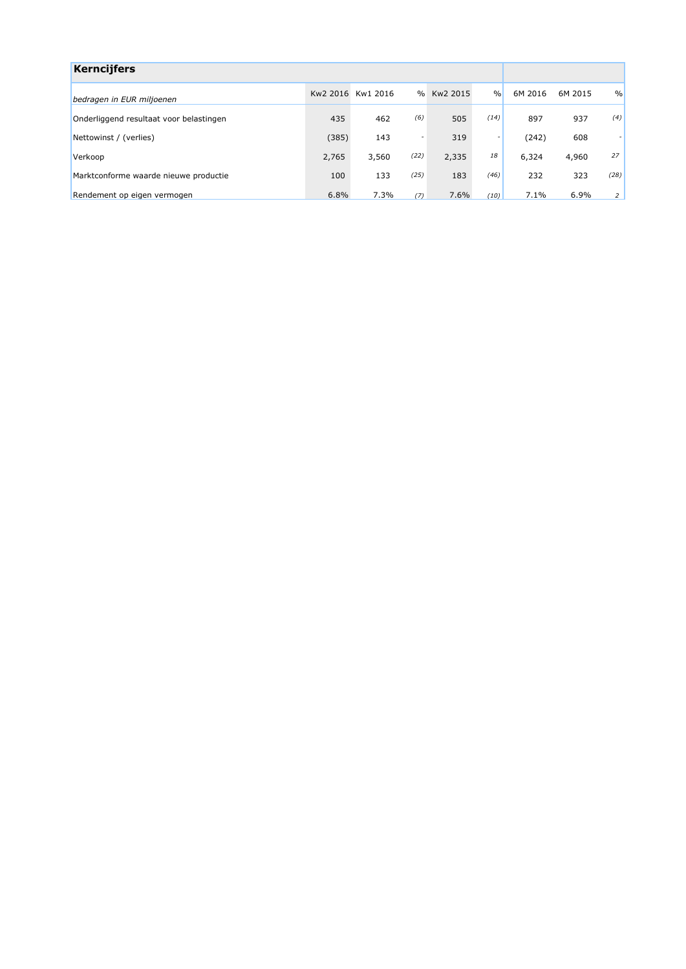| <b>Kerncijfers</b>                      |       |                   |                          |          |               |         |         |                |
|-----------------------------------------|-------|-------------------|--------------------------|----------|---------------|---------|---------|----------------|
| bedragen in EUR miljoenen               |       | Kw2 2016 Kw1 2016 | $\frac{0}{0}$            | Kw2 2015 | $\frac{0}{0}$ | 6M 2016 | 6M 2015 | $\frac{0}{0}$  |
| Onderliggend resultaat voor belastingen | 435   | 462               | (6)                      | 505      | (14)          | 897     | 937     | (4)            |
| Nettowinst / (verlies)                  | (385) | 143               | $\overline{\phantom{a}}$ | 319      |               | (242)   | 608     |                |
| Verkoop                                 | 2,765 | 3,560             | (22)                     | 2,335    | 18            | 6,324   | 4,960   | 27             |
| Marktconforme waarde nieuwe productie   | 100   | 133               | (25)                     | 183      | (46)          | 232     | 323     | (28)           |
| Rendement op eigen vermogen             | 6.8%  | 7.3%              | (7)                      | 7.6%     | (10)          | 7.1%    | 6.9%    | 2 <sup>1</sup> |